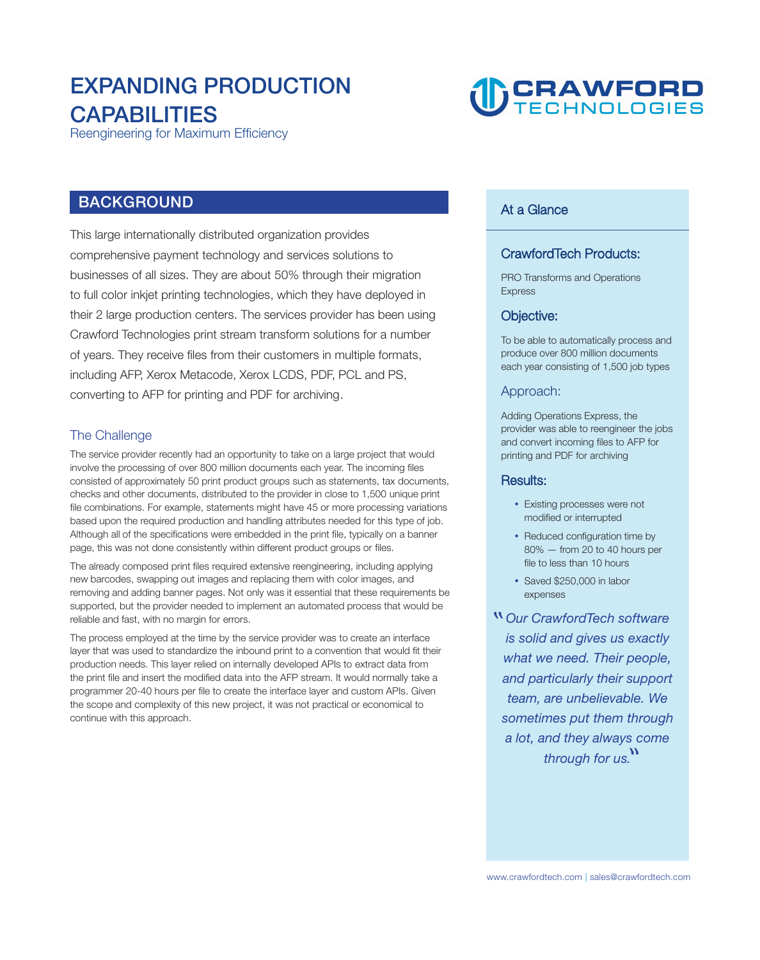# **EXPANDING PRODUCTION CAPABILITIES**



**Reengineering for Maximum Efficiency** 

## **BACKGROUND**

**This large internationally distributed organization provides comprehensive payment technology and services solutions to businesses of all sizes. They are about 50% through their migration to full color inkjet printing technologies, which they have deployed in their 2 large production centers. The services provider has been using Crawford Technologies print stream transform solutions for a number of years. They receive files from their customers in multiple formats, including AFP, Xerox Metacode, Xerox LCDS, PDF, PCL and PS, converting to AFP for printing and PDF for archiving.** 

#### **The Challenge**

**The service provider recently had an opportunity to take on a large project that would involve the processing of over 800 million documents each year. The incoming files consisted of approximately 50 print product groups such as statements, tax documents, checks and other documents, distributed to the provider in close to 1,500 unique print file combinations. For example, statements might have 45 or more processing variations based upon the required production and handling attributes needed for this type of job. Although all of the specifications were embedded in the print file, typically on a banner page, this was not done consistently within different product groups or files.** 

**The already composed print files required extensive reengineering, including applying new barcodes, swapping out images and replacing them with color images, and removing and adding banner pages. Not only was it essential that these requirements be supported, but the provider needed to implement an automated process that would be reliable and fast, with no margin for errors.** 

**The process employed at the time by the service provider was to create an interface layer that was used to standardize the inbound print to a convention that would fit their production needs. This layer relied on internally developed APIs to extract data from the print file and insert the modified data into the AFP stream. It would normally take a programmer 20-40 hours per file to create the interface layer and custom APIs. Given the scope and complexity of this new project, it was not practical or economical to continue with this approach.** 

### **At a Glance**

#### **CrawfordTech Products:**

**PRO Transforms and Operations Express** 

#### **Objective:**

**To be able to automatically process and produce over 800 million documents each year consisting of 1,500 job types** 

#### **Approach:**

**Adding Operations Express, the provider was able to reengineer the jobs and convert incoming files to AFP for printing and PDF for archiving** 

#### **Results:**

- **Existing processes were not modified or interrupted**
- **Reduced configuration time by 80% — from 20 to 40 hours per file to less than 10 hours**
- **Saved \$250,000 in labor expenses**

**Our CrawfordTech software is solid and gives us exactly what we need. Their people, and particularly their support team, are unbelievable. We sometimes put them through a lot, and they always come through for us. "**